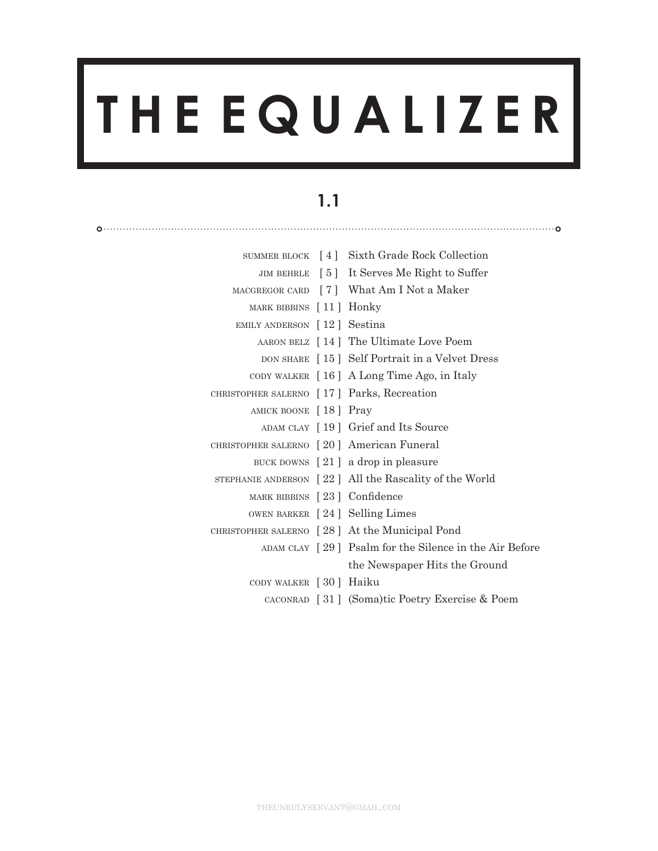# **T H E E Q U A L I Z E R**

# **1.1**

|                                            | SUMMER BLOCK [4] Sixth Grade Rock Collection                         |
|--------------------------------------------|----------------------------------------------------------------------|
|                                            | JIM BEHRLE [5] It Serves Me Right to Suffer                          |
|                                            | MACGREGOR CARD [7] What Am I Not a Maker                             |
| MARK BIBBINS [11] Honky                    |                                                                      |
| EMILY ANDERSON [12] Sestina                |                                                                      |
|                                            | AARON BELZ [14] The Ultimate Love Poem                               |
|                                            | DON SHARE [15] Self Portrait in a Velvet Dress                       |
|                                            | CODY WALKER [16] A Long Time Ago, in Italy                           |
| CHRISTOPHER SALERNO [17] Parks, Recreation |                                                                      |
| AMICK BOONE $\lceil 18 \rceil$ Pray        |                                                                      |
|                                            | ADAM CLAY [19] Grief and Its Source                                  |
| CHRISTOPHER SALERNO [20] American Funeral  |                                                                      |
|                                            | BUCK DOWNS [21] a drop in pleasure                                   |
|                                            | STEPHANIE ANDERSON $\lceil 22 \rceil$ All the Rascality of the World |
| MARK BIBBINS [23] Confidence               |                                                                      |
|                                            | OWEN BARKER [24] Selling Limes                                       |
|                                            | CHRISTOPHER SALERNO [28] At the Municipal Pond                       |
|                                            | $ADAM CLAY$ [29] Psalm for the Silence in the Air Before             |
|                                            | the Newspaper Hits the Ground                                        |
| CODY WALKER [30] Haiku                     |                                                                      |
|                                            | CACONRAD [31] (Soma)tic Poetry Exercise & Poem                       |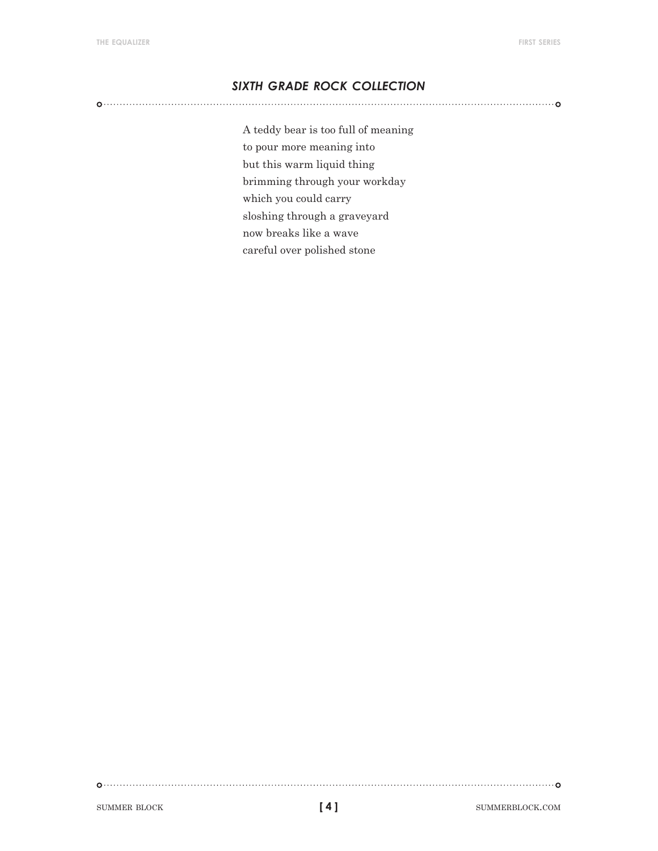### *sixth grade rock collection*

A teddy bear is too full of meaning to pour more meaning into but this warm liquid thing brimming through your workday which you could carry sloshing through a graveyard now breaks like a wave careful over polished stone

summer block summerblock.com  $[4]$  summerblock.com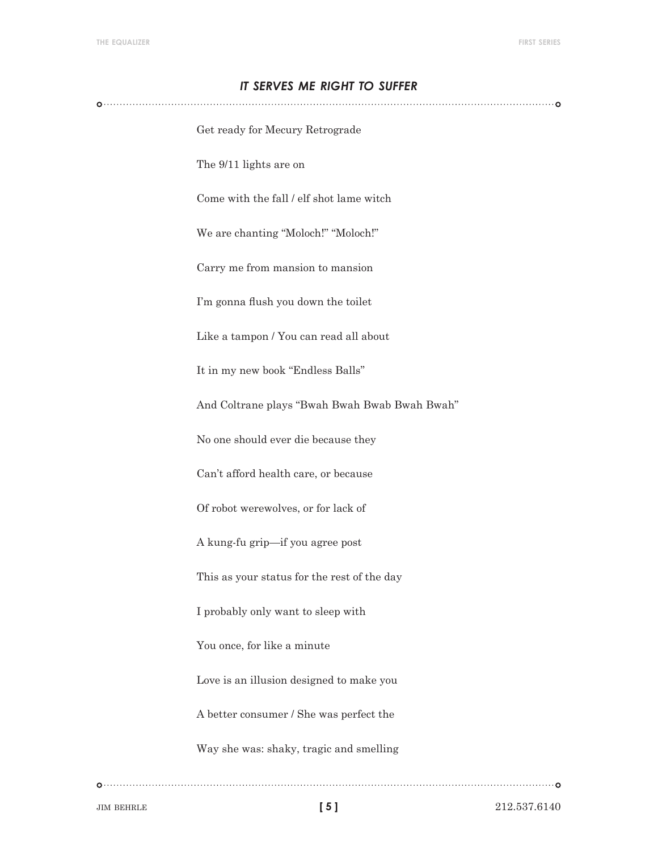#### *it serves me right to suffer*

Get ready for Mecury Retrograde The 9/11 lights are on Come with the fall / elf shot lame witch We are chanting "Moloch!" "Moloch!" Carry me from mansion to mansion I'm gonna flush you down the toilet Like a tampon / You can read all about It in my new book "Endless Balls" And Coltrane plays "Bwah Bwah Bwab Bwah Bwah" No one should ever die because they Can't afford health care, or because Of robot werewolves, or for lack of A kung-fu grip—if you agree post This as your status for the rest of the day I probably only want to sleep with You once, for like a minute Love is an illusion designed to make you A better consumer / She was perfect the Way she was: shaky, tragic and smelling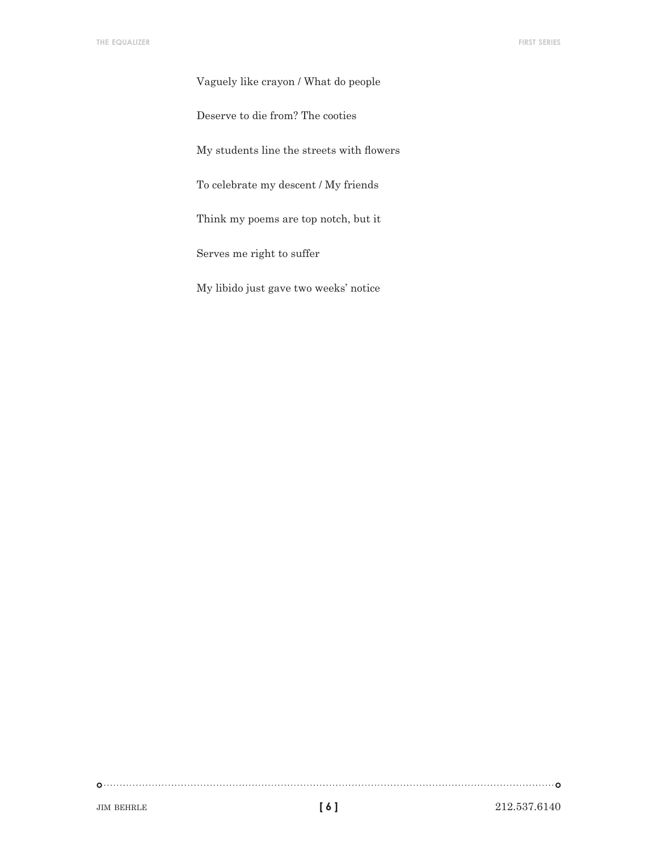Vaguely like crayon / What do people

Deserve to die from? The cooties

My students line the streets with flowers

To celebrate my descent / My friends

Think my poems are top notch, but it

Serves me right to suffer

My libido just gave two weeks' notice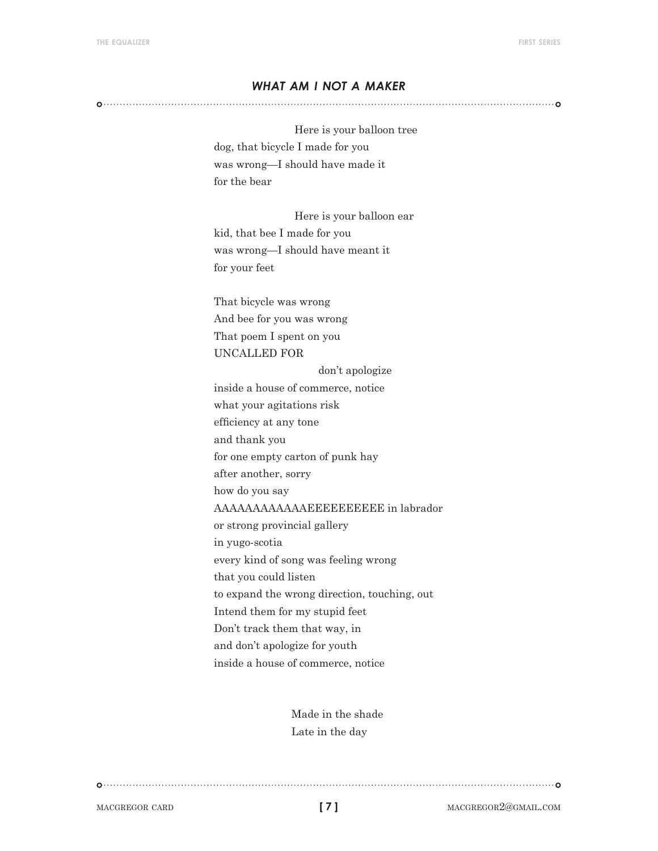#### *what am i not a maker*

 Here is your balloon tree dog, that bicycle I made for you was wrong—I should have made it for the bear

 Here is your balloon ear kid, that bee I made for you was wrong—I should have meant it for your feet

That bicycle was wrong And bee for you was wrong That poem I spent on you UNCALLED FOR

 don't apologize inside a house of commerce, notice what your agitations risk efficiency at any tone and thank you for one empty carton of punk hay after another, sorry how do you say AAAAAAAAAAAAEEEEEEEEEE in labrador or strong provincial gallery in yugo-scotia every kind of song was feeling wrong that you could listen to expand the wrong direction, touching, out Intend them for my stupid feet Don't track them that way, in and don't apologize for youth inside a house of commerce, notice

> Made in the shade Late in the day

**[ 7 ]**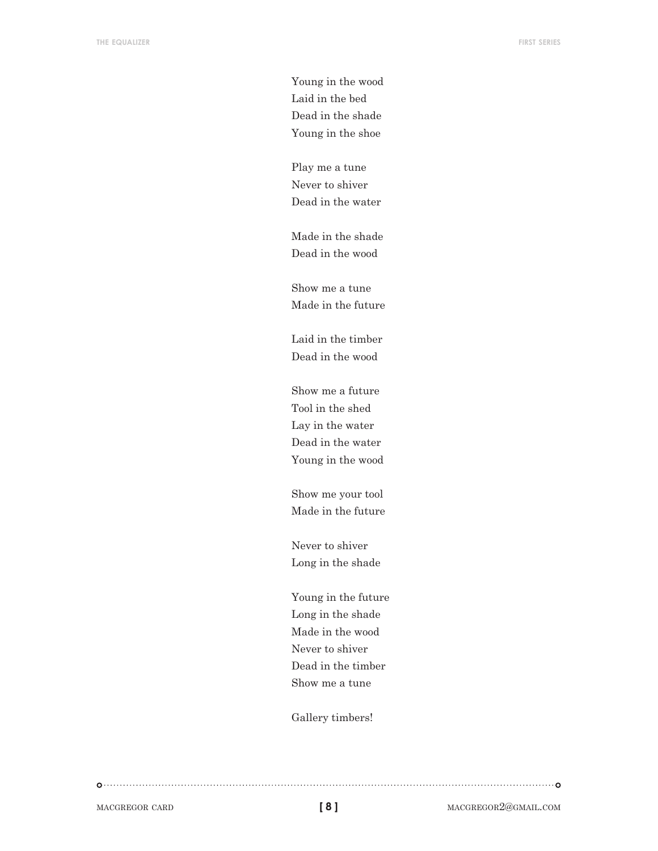Young in the wood Laid in the bed Dead in the shade Young in the shoe

 Play me a tune Never to shiver Dead in the water

 Made in the shade Dead in the wood

 Show me a tune Made in the future

 Laid in the timber Dead in the wood

 Show me a future Tool in the shed Lay in the water Dead in the water Young in the wood

 Show me your tool Made in the future

 Never to shiver Long in the shade

 Young in the future Long in the shade Made in the wood Never to shiver Dead in the timber Show me a tune

Gallery timbers!

**[ 8 ]**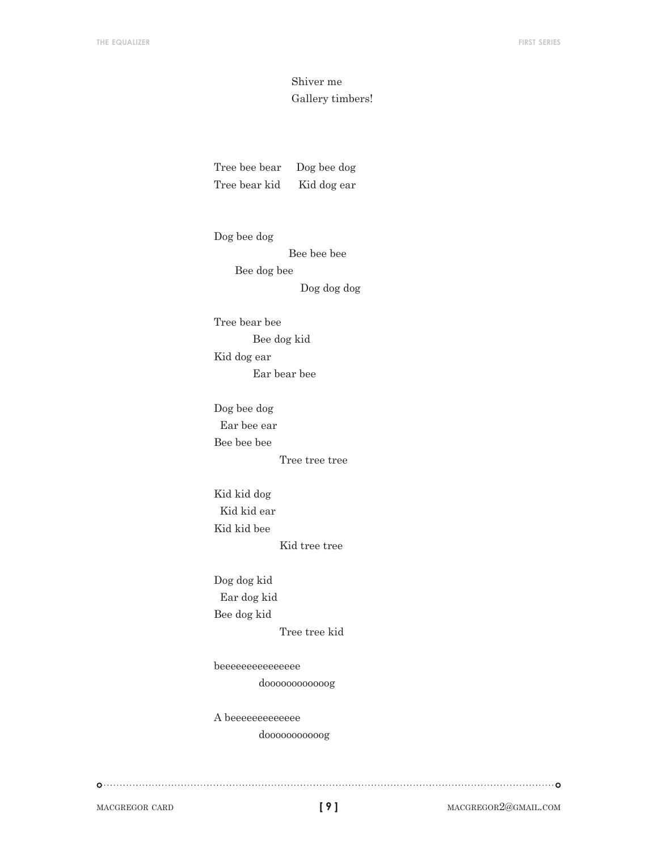#### Shiver me Gallery timbers!

Tree bee bear Dog bee dog Tree bear kid Kid dog ear

Dog bee dog Bee bee bee Bee dog bee

Dog dog dog

Tree bear bee Bee dog kid Kid dog ear Ear bear bee

Dog bee dog Ear bee ear Bee bee bee Tree tree tree

Kid kid dog Kid kid ear Kid kid bee Kid tree tree

Dog dog kid Ear dog kid Bee dog kid

Tree tree kid

beeeeeeeeeeeeeee doooooooooooog

A beeeeeeeeeeeee

dooooooooooog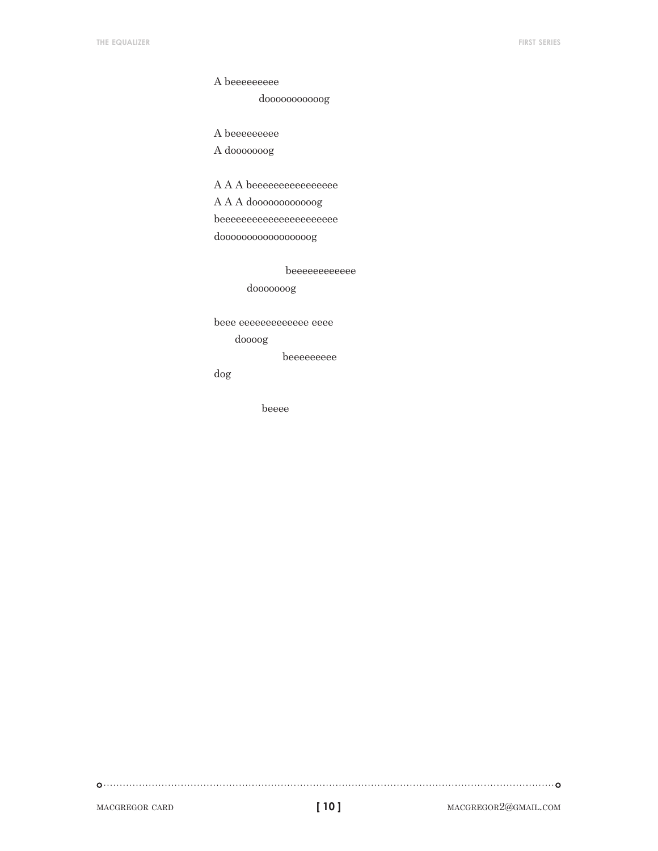A beeeeeeeee

dooooooooooog

A beeeeeeeee

A dooooooog

A A A beeeeeeeeeeeeeeee

A A A doooooooooooog

beeeeeeeeeeeeeeeeeeeeee

dooooooooooooooooog

beeeeeeeeeeee

dooooooog

beee eeeeeeeeeeeee eeee doooog beeeeeeeee

dog

beeee

macgregor card macgregor card material material material material material material material material material material material material material material material material material material material material material mat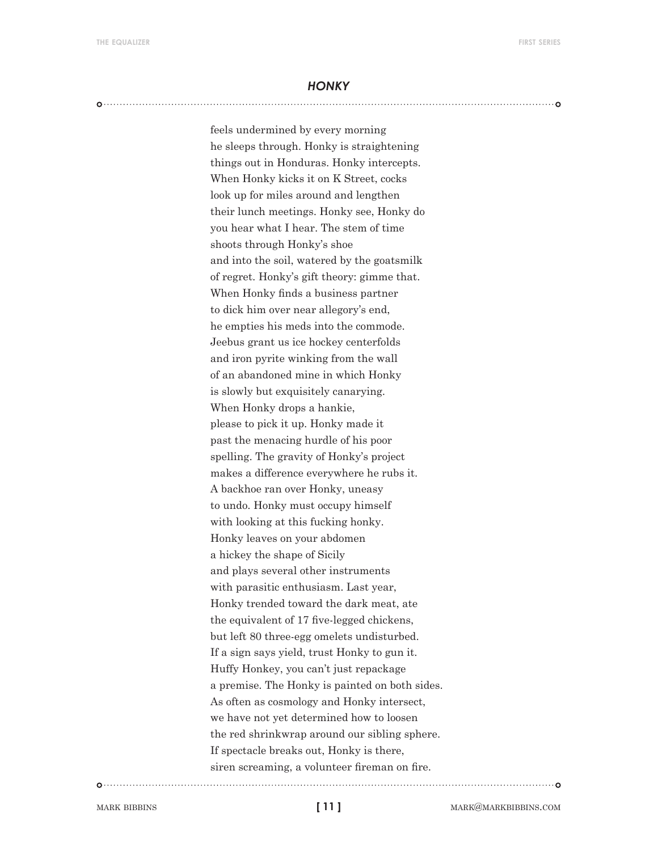#### *honky*

feels undermined by every morning he sleeps through. Honky is straightening things out in Honduras. Honky intercepts. When Honky kicks it on K Street, cocks look up for miles around and lengthen their lunch meetings. Honky see, Honky do you hear what I hear. The stem of time shoots through Honky's shoe and into the soil, watered by the goatsmilk of regret. Honky's gift theory: gimme that. When Honky finds a business partner to dick him over near allegory's end, he empties his meds into the commode. Jeebus grant us ice hockey centerfolds and iron pyrite winking from the wall of an abandoned mine in which Honky is slowly but exquisitely canarying. When Honky drops a hankie, please to pick it up. Honky made it past the menacing hurdle of his poor spelling. The gravity of Honky's project makes a difference everywhere he rubs it. A backhoe ran over Honky, uneasy to undo. Honky must occupy himself with looking at this fucking honky. Honky leaves on your abdomen a hickey the shape of Sicily and plays several other instruments with parasitic enthusiasm. Last year, Honky trended toward the dark meat, ate the equivalent of 17 five-legged chickens, but left 80 three-egg omelets undisturbed. If a sign says yield, trust Honky to gun it. Huffy Honkey, you can't just repackage a premise. The Honky is painted on both sides. As often as cosmology and Honky intersect, we have not yet determined how to loosen the red shrinkwrap around our sibling sphere. If spectacle breaks out, Honky is there, siren screaming, a volunteer fireman on fire.

**[ 11 ]**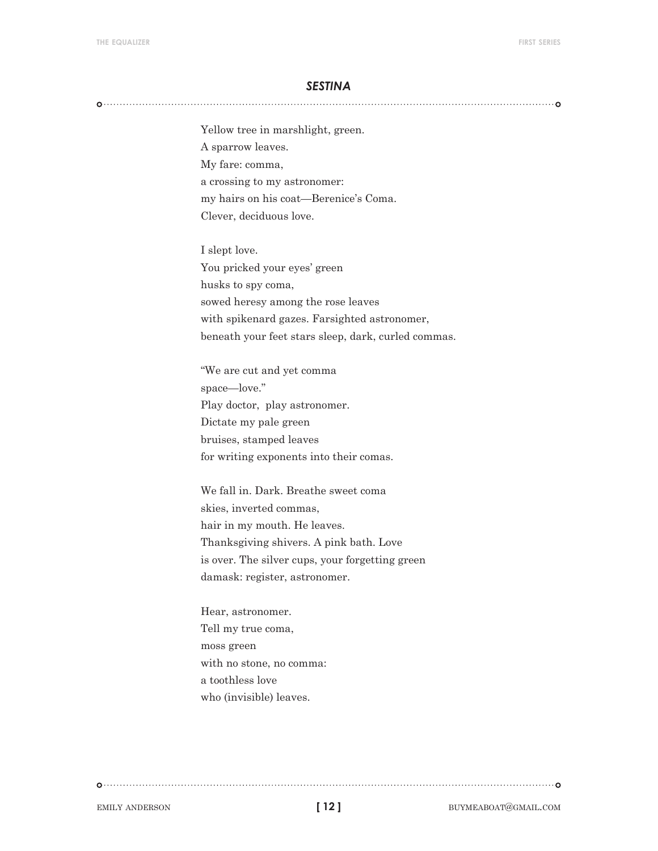#### *sestina*

Yellow tree in marshlight, green.

A sparrow leaves. My fare: comma, a crossing to my astronomer: my hairs on his coat—Berenice's Coma. Clever, deciduous love.

I slept love. You pricked your eyes' green husks to spy coma, sowed heresy among the rose leaves with spikenard gazes. Farsighted astronomer, beneath your feet stars sleep, dark, curled commas.

"We are cut and yet comma space—love." Play doctor, play astronomer. Dictate my pale green bruises, stamped leaves for writing exponents into their comas.

We fall in. Dark. Breathe sweet coma skies, inverted commas, hair in my mouth. He leaves. Thanksgiving shivers. A pink bath. Love is over. The silver cups, your forgetting green damask: register, astronomer.

Hear, astronomer. Tell my true coma, moss green with no stone, no comma: a toothless love who (invisible) leaves.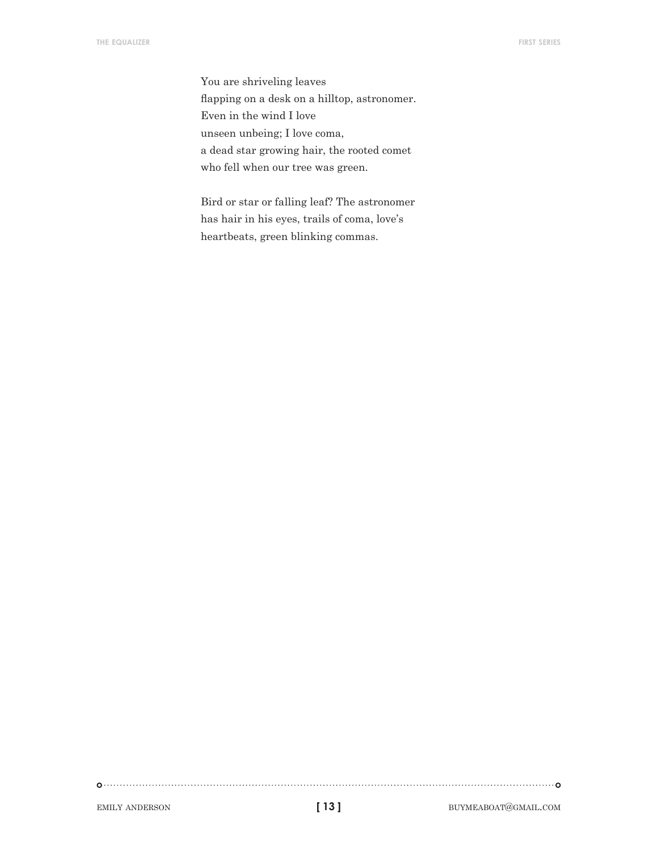You are shriveling leaves flapping on a desk on a hilltop, astronomer. Even in the wind I love unseen unbeing; I love coma, a dead star growing hair, the rooted comet who fell when our tree was green.

Bird or star or falling leaf? The astronomer has hair in his eyes, trails of coma, love's heartbeats, green blinking commas.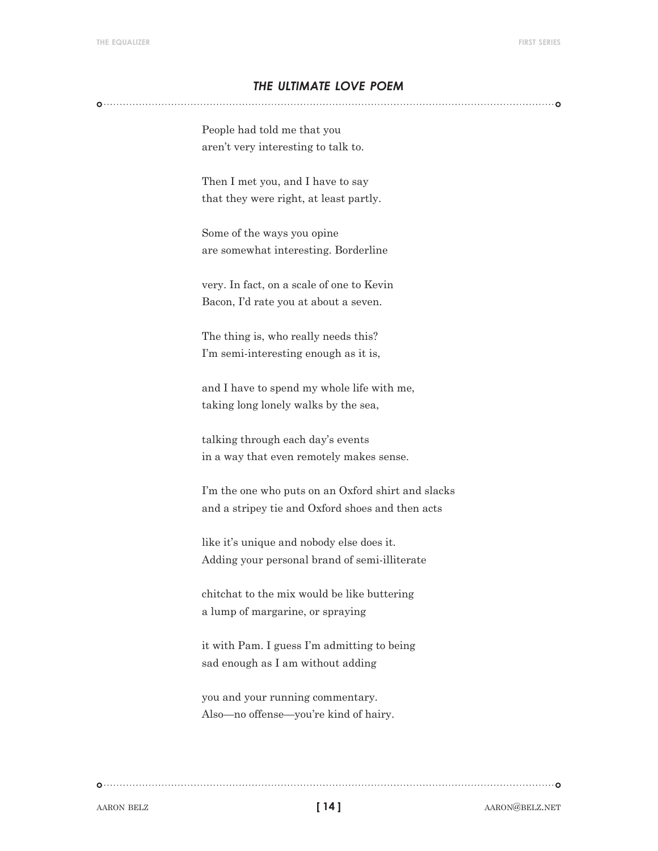#### *the ultimate love poem*

People had told me that you aren't very interesting to talk to.

Then I met you, and I have to say that they were right, at least partly.

Some of the ways you opine are somewhat interesting. Borderline

very. In fact, on a scale of one to Kevin Bacon, I'd rate you at about a seven.

The thing is, who really needs this? I'm semi-interesting enough as it is,

and I have to spend my whole life with me, taking long lonely walks by the sea,

talking through each day's events in a way that even remotely makes sense.

I'm the one who puts on an Oxford shirt and slacks and a stripey tie and Oxford shoes and then acts

like it's unique and nobody else does it. Adding your personal brand of semi-illiterate

chitchat to the mix would be like buttering a lump of margarine, or spraying

it with Pam. I guess I'm admitting to being sad enough as I am without adding

you and your running commentary. Also—no offense—you're kind of hairy.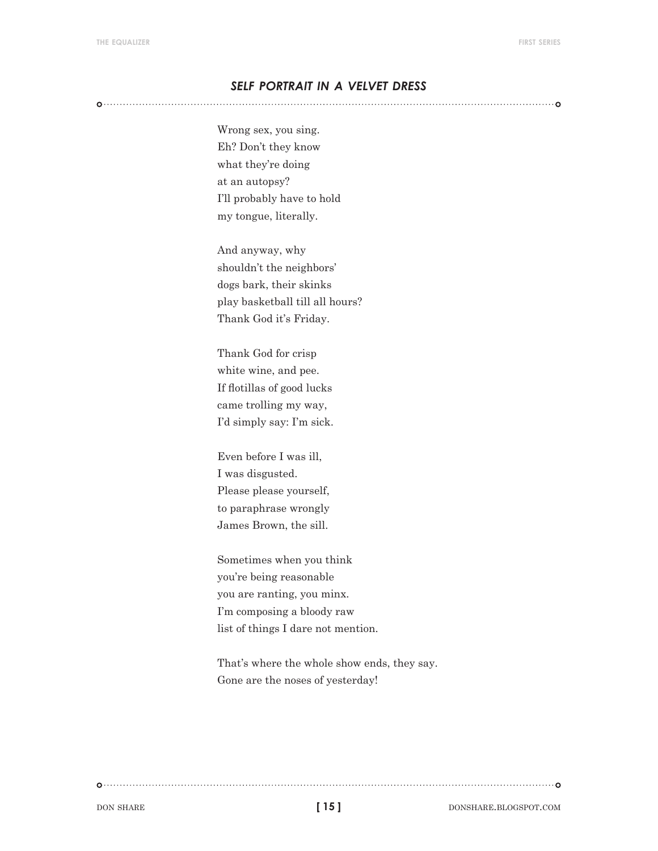#### *self portrait in a velvet dress*

Wrong sex, you sing. Eh? Don't they know what they're doing at an autopsy? I'll probably have to hold my tongue, literally.

And anyway, why shouldn't the neighbors' dogs bark, their skinks play basketball till all hours? Thank God it's Friday.

Thank God for crisp white wine, and pee. If flotillas of good lucks came trolling my way, I'd simply say: I'm sick.

Even before I was ill, I was disgusted. Please please yourself, to paraphrase wrongly James Brown, the sill.

Sometimes when you think you're being reasonable you are ranting, you minx. I'm composing a bloody raw list of things I dare not mention.

That's where the whole show ends, they say. Gone are the noses of yesterday!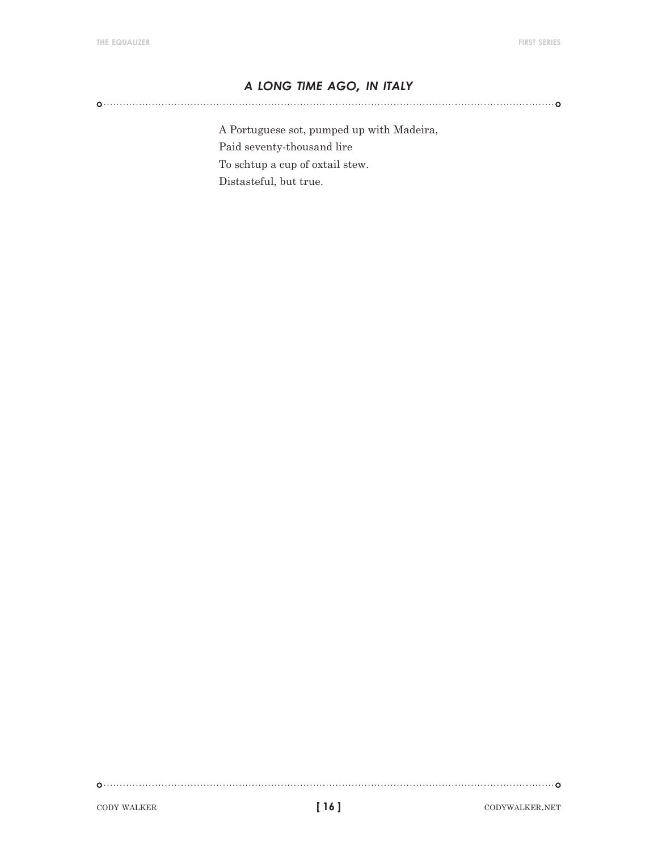#### *<sup>a</sup> long time ago, in italy*

A Portuguese sot, pumped up with Madeira, Paid seventy-thousand lire To schtup a cup of oxtail stew. Distasteful, but true.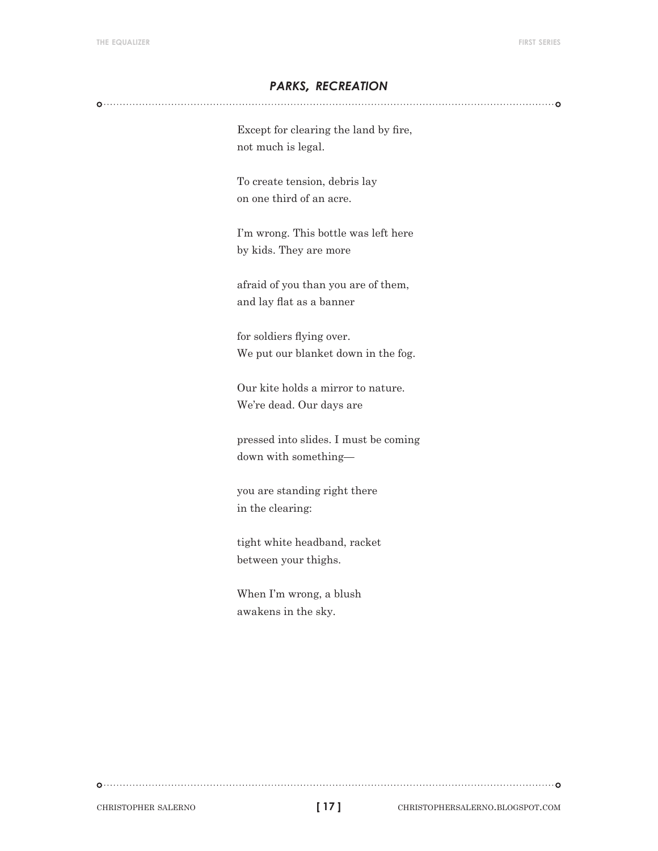#### *parks, recreation*

Except for clearing the land by fire, not much is legal.

To create tension, debris lay on one third of an acre.

I'm wrong. This bottle was left here by kids. They are more

afraid of you than you are of them, and lay flat as a banner

for soldiers flying over. We put our blanket down in the fog.

Our kite holds a mirror to nature. We're dead. Our days are

pressed into slides. I must be coming down with something—

you are standing right there in the clearing:

tight white headband, racket between your thighs.

When I'm wrong, a blush awakens in the sky.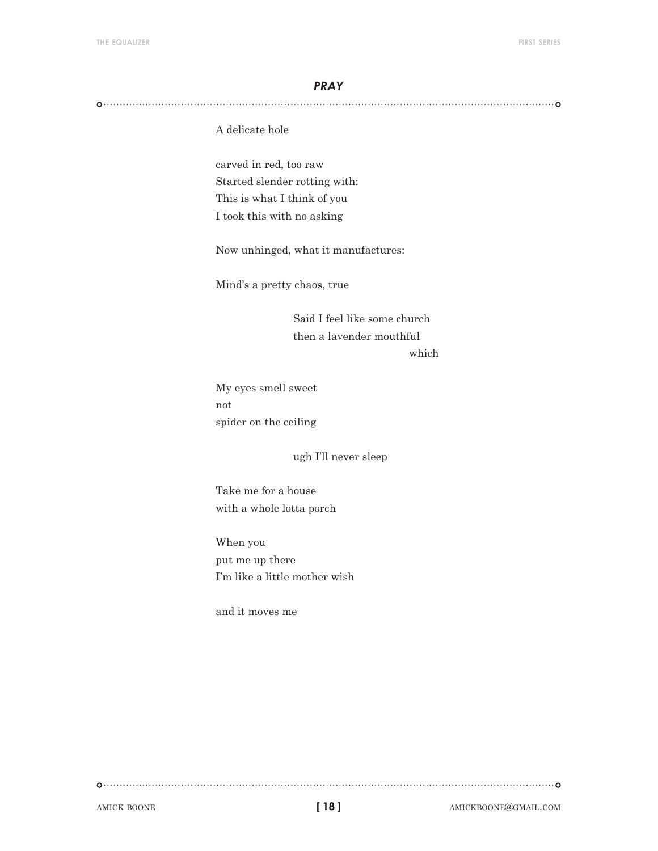#### *pray*

A delicate hole

carved in red, too raw Started slender rotting with: This is what I think of you I took this with no asking

Now unhinged, what it manufactures:

Mind's a pretty chaos, true

 Said I feel like some church then a lavender mouthful which

My eyes smell sweet not spider on the ceiling

ugh I'll never sleep

Take me for a house with a whole lotta porch

When you put me up there I'm like a little mother wish

and it moves me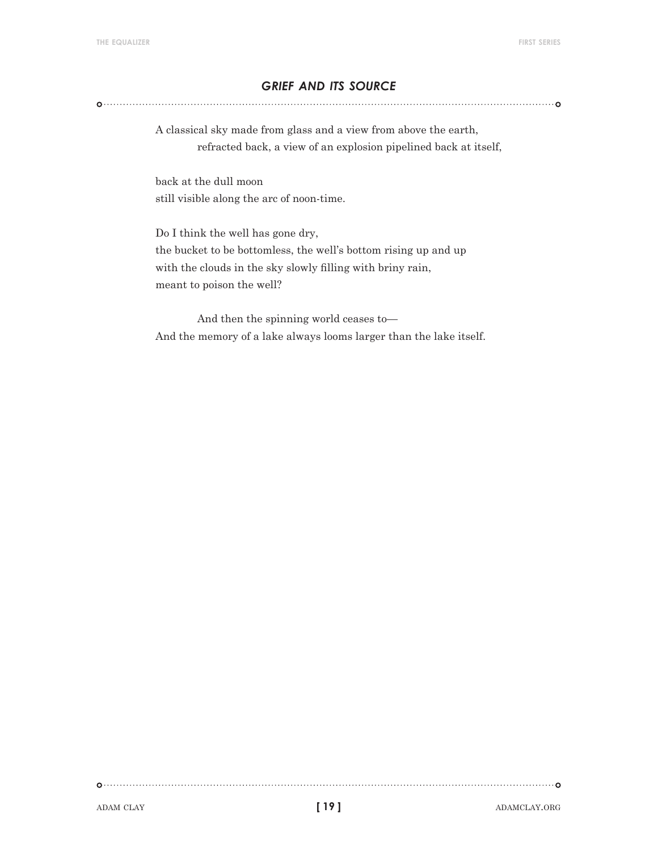#### *grief and its source*

A classical sky made from glass and a view from above the earth, refracted back, a view of an explosion pipelined back at itself,

back at the dull moon still visible along the arc of noon-time.

Do I think the well has gone dry, the bucket to be bottomless, the well's bottom rising up and up with the clouds in the sky slowly filling with briny rain, meant to poison the well?

 And then the spinning world ceases to— And the memory of a lake always looms larger than the lake itself.

ADAM CLAY **and adam class in the set of 19 later and adam class of 19 later adam class adam class of the set of 19 l**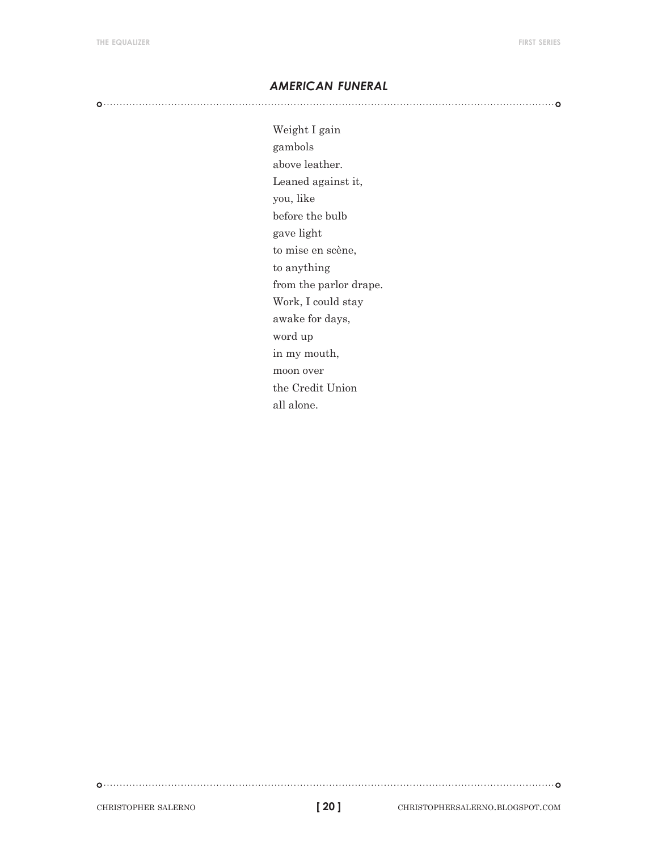#### *american funeral*

Weight I gain gambols above leather. Leaned against it, you, like before the bulb gave light to mise en scène, to anything from the parlor drape. Work, I could stay awake for days, word up in my mouth,

moon over

the Credit Union

all alone.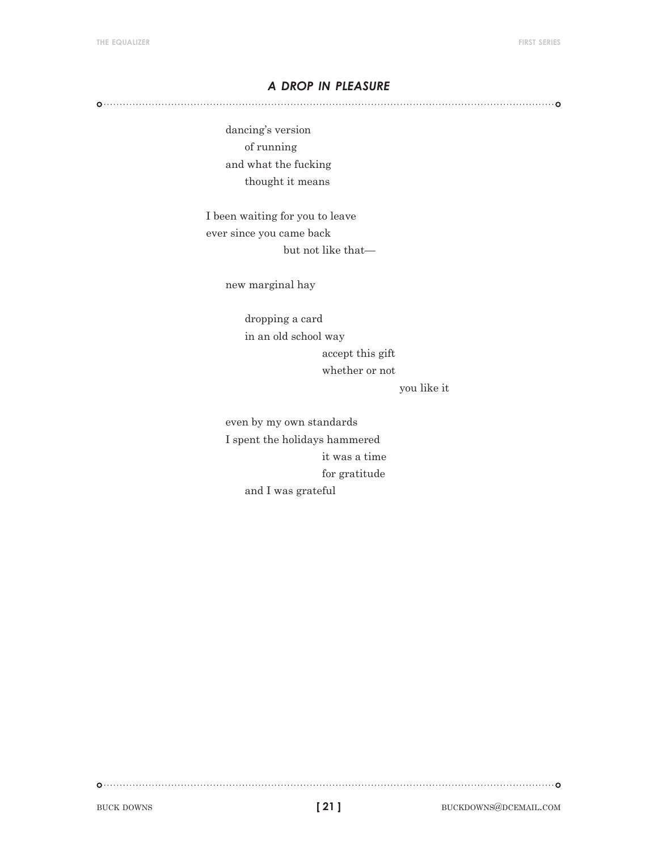#### *a drop in pleasure*

dancing's version of running and what the fucking thought it means

I been waiting for you to leave ever since you came back but not like that—

new marginal hay

 dropping a card in an old school way

accept this gift

whether or not

you like it

even by my own standards I spent the holidays hammered it was a time for gratitude and I was grateful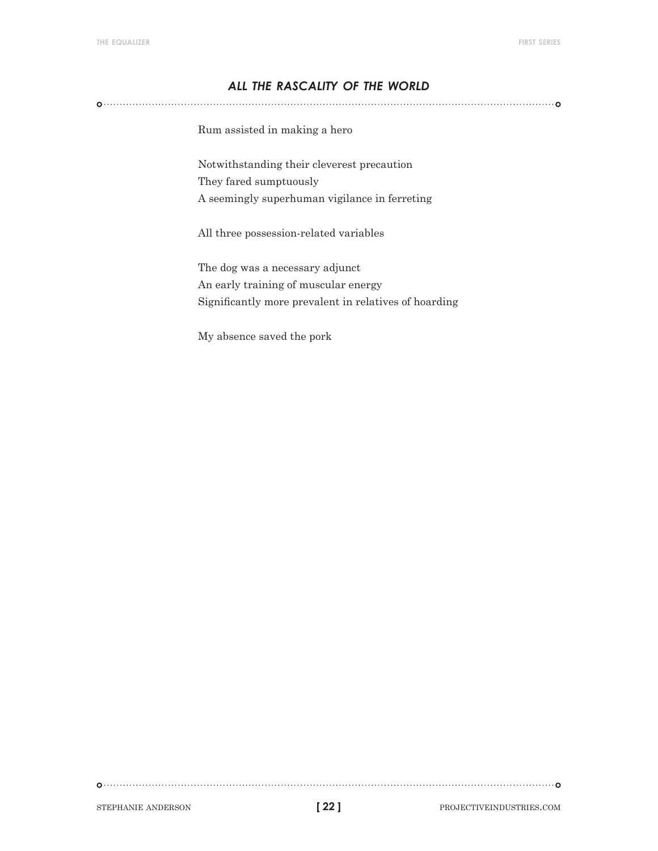#### *all the rascality of the world*

Rum assisted in making a hero

Notwithstanding their cleverest precaution They fared sumptuously A seemingly superhuman vigilance in ferreting

All three possession-related variables

The dog was a necessary adjunct An early training of muscular energy Significantly more prevalent in relatives of hoarding

My absence saved the pork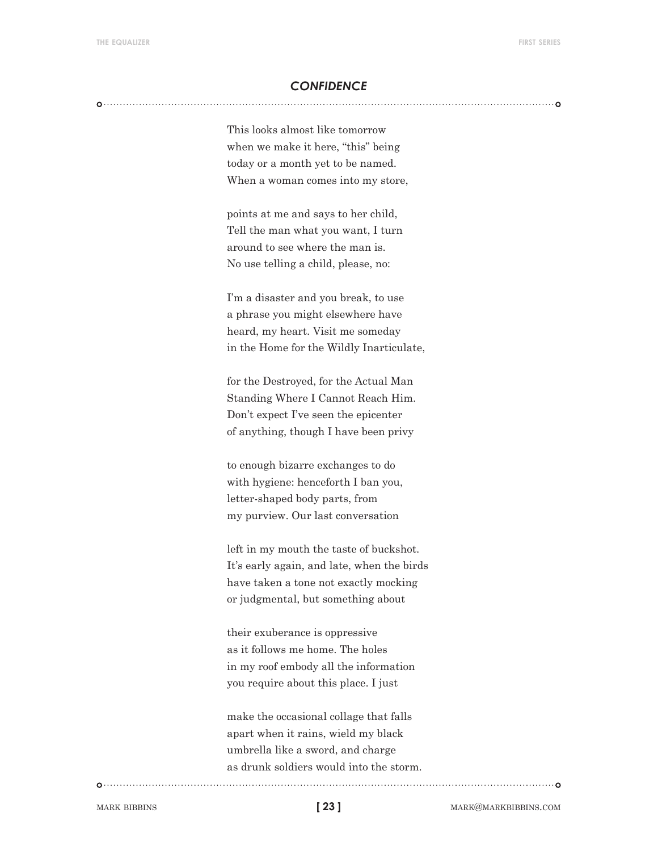#### *confidence*

This looks almost like tomorrow when we make it here, "this" being today or a month yet to be named. When a woman comes into my store,

points at me and says to her child, Tell the man what you want, I turn around to see where the man is. No use telling a child, please, no:

I'm a disaster and you break, to use a phrase you might elsewhere have heard, my heart. Visit me someday in the Home for the Wildly Inarticulate,

for the Destroyed, for the Actual Man Standing Where I Cannot Reach Him. Don't expect I've seen the epicenter of anything, though I have been privy

to enough bizarre exchanges to do with hygiene: henceforth I ban you, letter-shaped body parts, from my purview. Our last conversation

left in my mouth the taste of buckshot. It's early again, and late, when the birds have taken a tone not exactly mocking or judgmental, but something about

their exuberance is oppressive as it follows me home. The holes in my roof embody all the information you require about this place. I just

make the occasional collage that falls apart when it rains, wield my black umbrella like a sword, and charge as drunk soldiers would into the storm.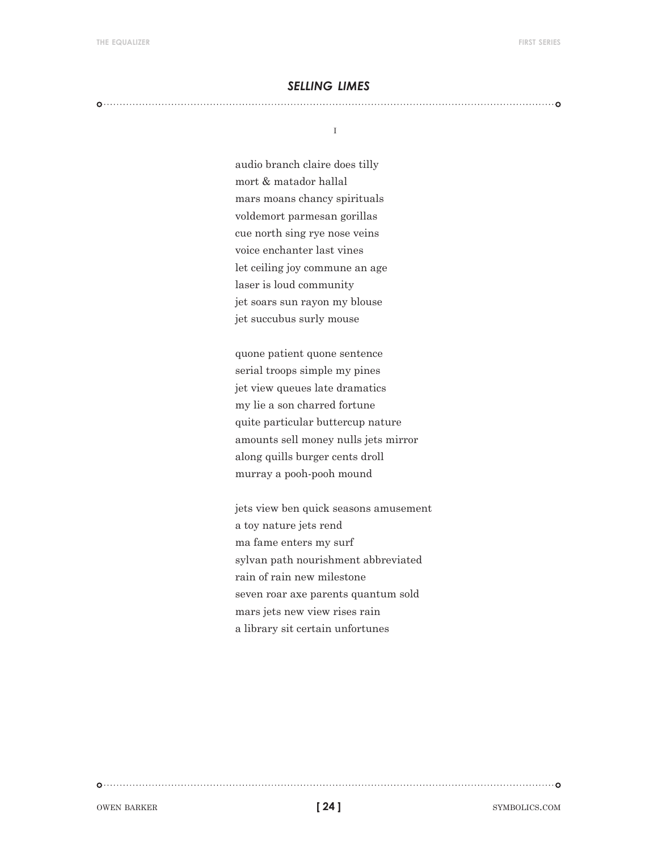#### *selling limes*

i

audio branch claire does tilly mort & matador hallal mars moans chancy spirituals voldemort parmesan gorillas cue north sing rye nose veins voice enchanter last vines let ceiling joy commune an age laser is loud community jet soars sun rayon my blouse jet succubus surly mouse

quone patient quone sentence serial troops simple my pines jet view queues late dramatics my lie a son charred fortune quite particular buttercup nature amounts sell money nulls jets mirror along quills burger cents droll murray a pooh-pooh mound

jets view ben quick seasons amusement a toy nature jets rend ma fame enters my surf sylvan path nourishment abbreviated rain of rain new milestone seven roar axe parents quantum sold mars jets new view rises rain a library sit certain unfortunes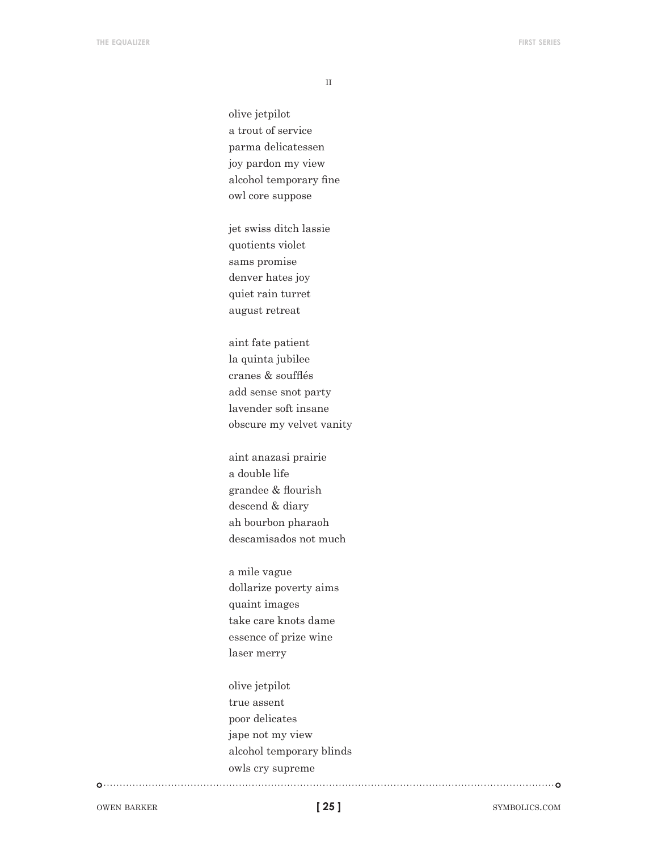$\rm II$ 

olive jetpilot a trout of service parma delicatessen joy pardon my view alcohol temporary fine owl core suppose

jet swiss ditch lassie quotients violet sams promise denver hates joy quiet rain turret august retreat

aint fate patient la quinta jubilee cranes & soufflés add sense snot party lavender soft insane obscure my velvet vanity

aint anazasi prairie a double life grandee & flourish descend & diary ah bourbon pharaoh descamisados not much

a mile vague dollarize poverty aims quaint images take care knots dame essence of prize wine laser merry

olive jetpilot true assent poor delicates jape not my view alcohol temporary blinds owls cry supreme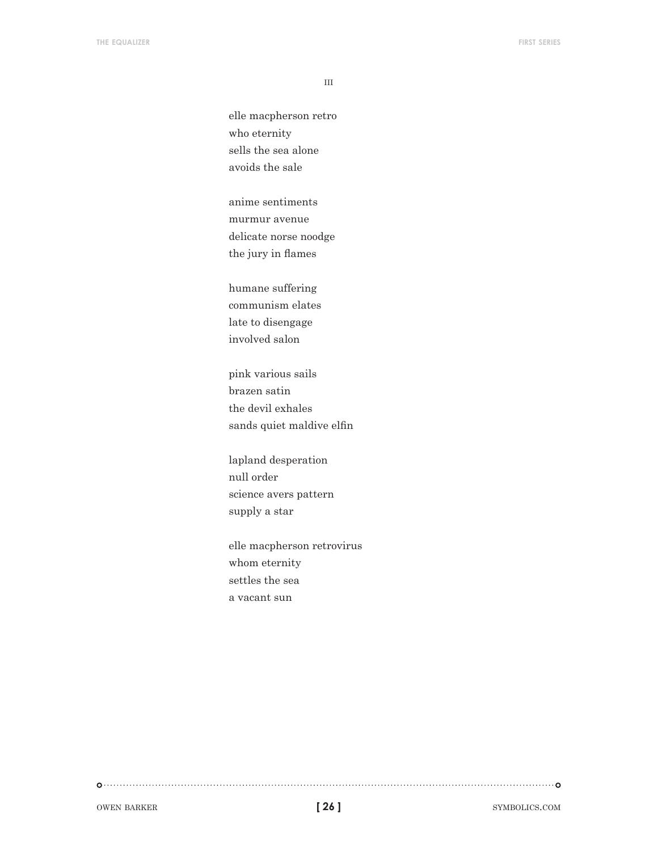iii

elle macpherson retro who eternity sells the sea alone avoids the sale

anime sentiments murmur avenue delicate norse noodge the jury in flames

humane suffering communism elates late to disengage involved salon

pink various sails brazen satin the devil exhales sands quiet maldive elfin

lapland desperation null order science avers pattern supply a star

elle macpherson retrovirus whom eternity settles the sea a vacant sun

owen barker symbolics.com  $[26]$ 

**[ 26 ]**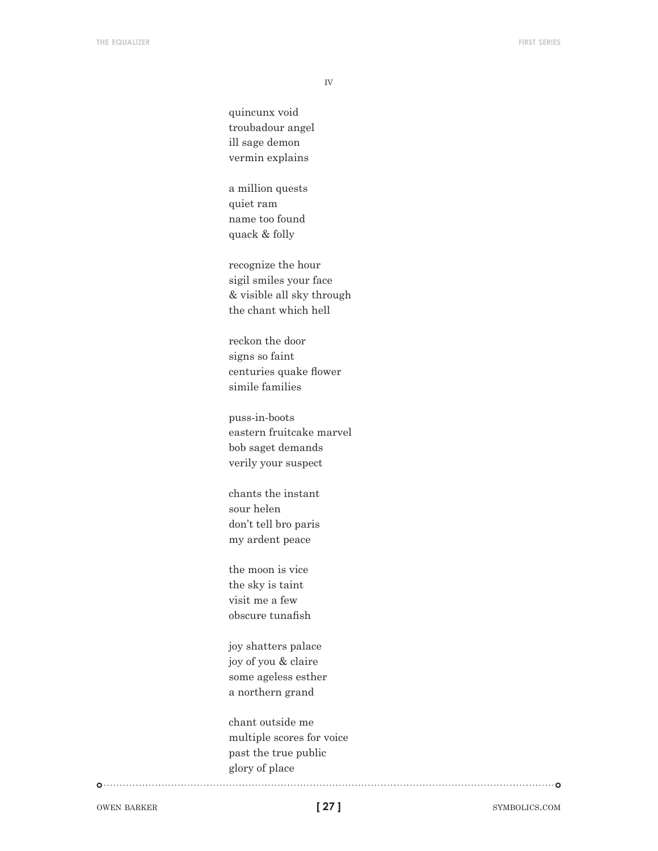iv

quincunx void troubadour angel ill sage demon vermin explains

a million quests quiet ram name too found quack & folly

recognize the hour sigil smiles your face & visible all sky through the chant which hell

reckon the door signs so faint centuries quake flower simile families

puss-in-boots eastern fruitcake marvel bob saget demands verily your suspect

chants the instant sour helen don't tell bro paris my ardent peace

the moon is vice the sky is taint visit me a few obscure tunafish

joy shatters palace joy of you & claire some ageless esther a northern grand

chant outside me multiple scores for voice past the true public glory of place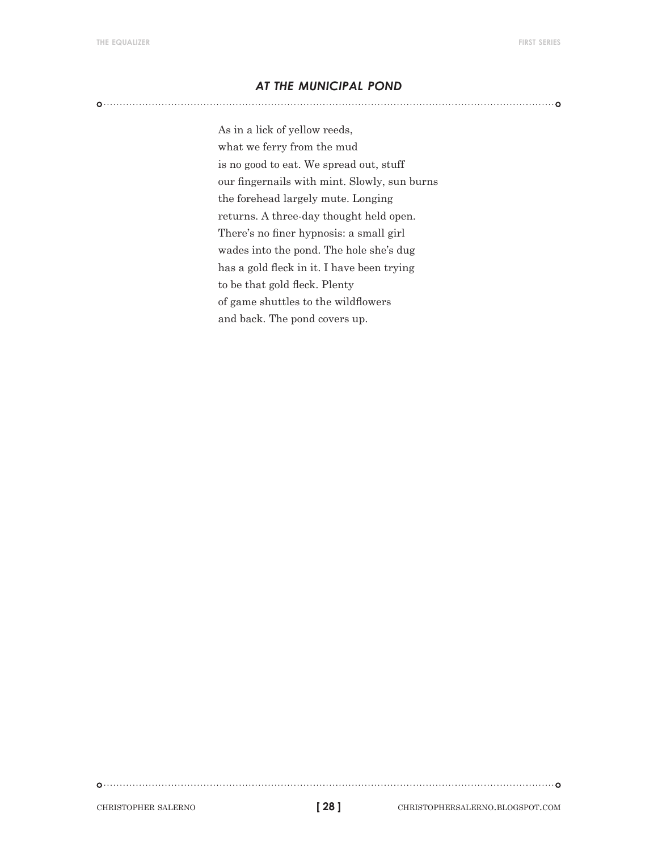#### *at the municipal pond*

As in a lick of yellow reeds,

what we ferry from the mud is no good to eat. We spread out, stuff our fingernails with mint. Slowly, sun burns the forehead largely mute. Longing returns. A three-day thought held open. There's no finer hypnosis: a small girl wades into the pond. The hole she's dug has a gold fleck in it. I have been trying to be that gold fleck. Plenty of game shuttles to the wildflowers and back. The pond covers up.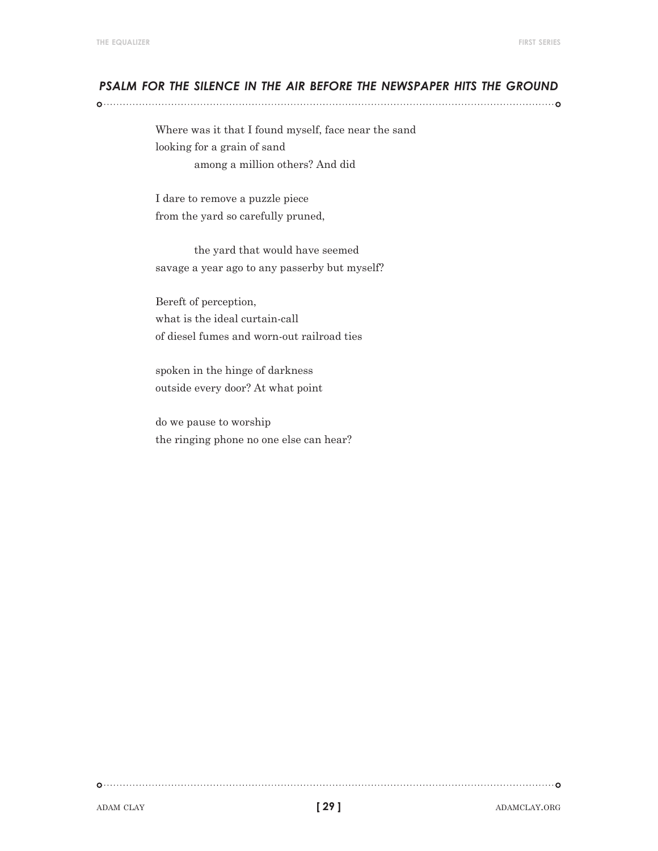#### *psalm for the silence in the air before the newspaper hits the ground*

Where was it that I found myself, face near the sand looking for a grain of sand among a million others? And did

I dare to remove a puzzle piece from the yard so carefully pruned,

the yard that would have seemed savage a year ago to any passerby but myself?

Bereft of perception, what is the ideal curtain-call of diesel fumes and worn-out railroad ties

spoken in the hinge of darkness outside every door? At what point

do we pause to worship the ringing phone no one else can hear?

**[ 29 ]**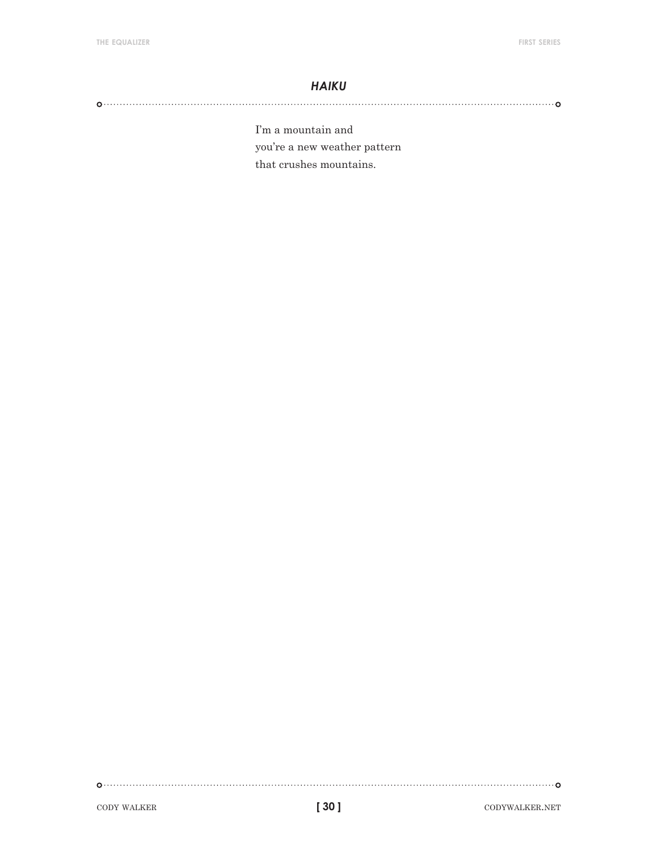#### *haiku*

#### 

I'm a mountain and you're a new weather pattern that crushes mountains.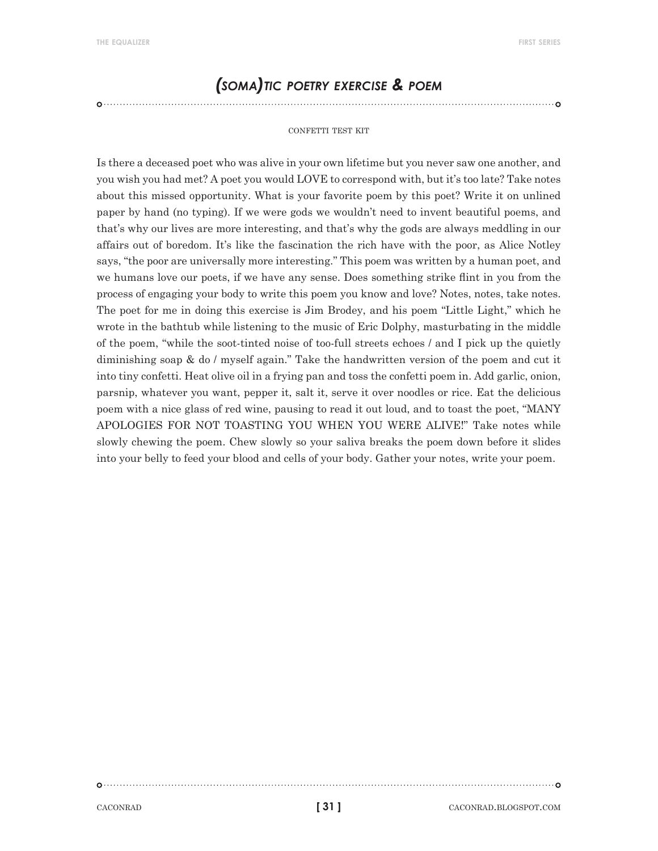# *(soma)tic poetry exercise & poem*

#### confetti test kit

Is there a deceased poet who was alive in your own lifetime but you never saw one another, and you wish you had met? A poet you would LOVE to correspond with, but it's too late? Take notes about this missed opportunity. What is your favorite poem by this poet? Write it on unlined paper by hand (no typing). If we were gods we wouldn't need to invent beautiful poems, and that's why our lives are more interesting, and that's why the gods are always meddling in our affairs out of boredom. It's like the fascination the rich have with the poor, as Alice Notley says, "the poor are universally more interesting." This poem was written by a human poet, and we humans love our poets, if we have any sense. Does something strike flint in you from the process of engaging your body to write this poem you know and love? Notes, notes, take notes. The poet for me in doing this exercise is Jim Brodey, and his poem "Little Light," which he wrote in the bathtub while listening to the music of Eric Dolphy, masturbating in the middle of the poem, "while the soot-tinted noise of too-full streets echoes / and I pick up the quietly diminishing soap & do / myself again." Take the handwritten version of the poem and cut it into tiny confetti. Heat olive oil in a frying pan and toss the confetti poem in. Add garlic, onion, parsnip, whatever you want, pepper it, salt it, serve it over noodles or rice. Eat the delicious poem with a nice glass of red wine, pausing to read it out loud, and to toast the poet, "MANY APOLOGIES FOR NOT TOASTING YOU WHEN YOU WERE ALIVE!" Take notes while slowly chewing the poem. Chew slowly so your saliva breaks the poem down before it slides into your belly to feed your blood and cells of your body. Gather your notes, write your poem.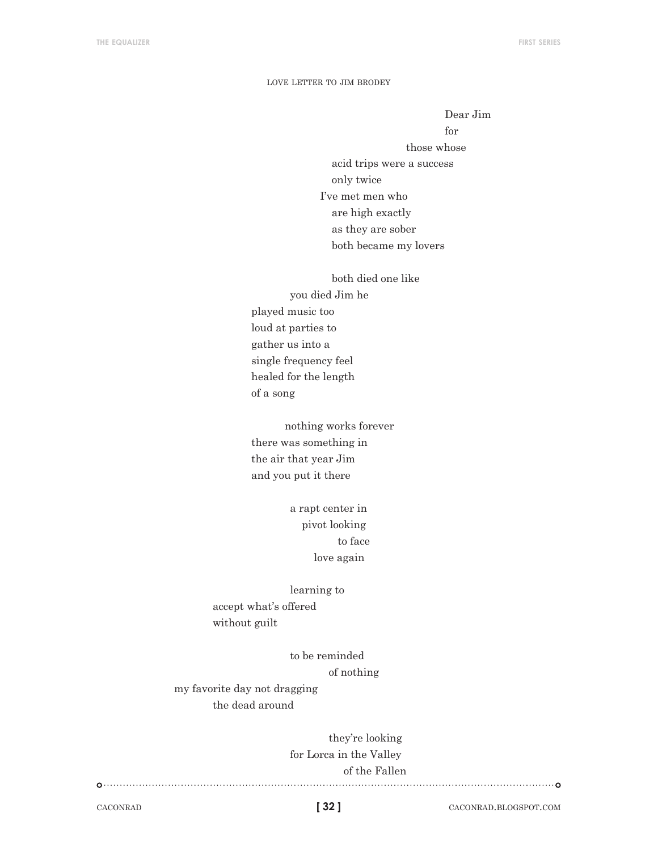#### LOVE LETTER TO JIM BRODEY

## Dear Jim for

 those whose acid trips were a success only twice I've met men who are high exactly as they are sober both became my lovers

both died one like

 you died Jim he played music too loud at parties to gather us into a single frequency feel healed for the length of a song

 nothing works forever there was something in the air that year Jim and you put it there

> a rapt center in pivot looking to face love again

 learning to accept what's offered without guilt

#### to be reminded

of nothing

 my favorite day not dragging the dead around

 they're looking for Lorca in the Valley of the Fallen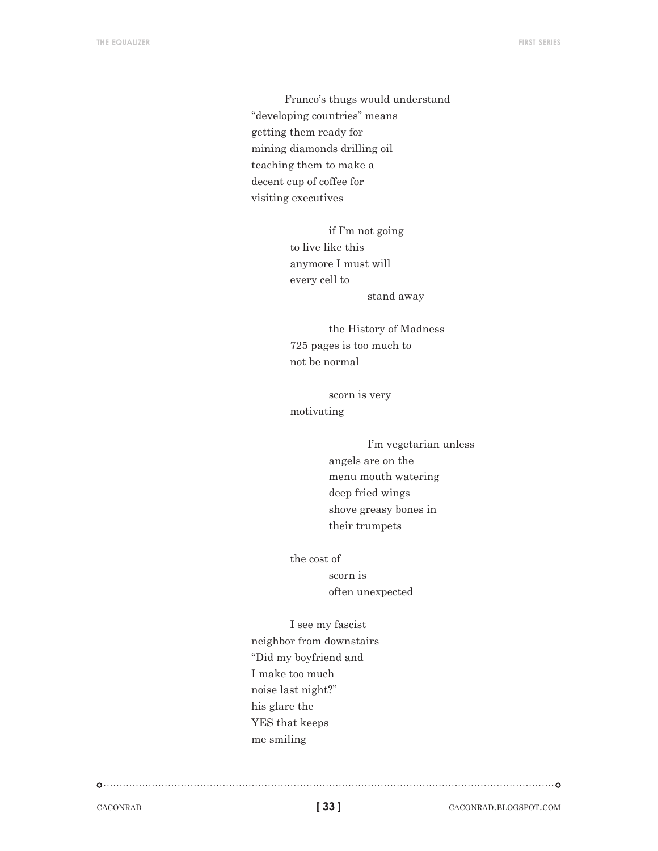Franco's thugs would understand "developing countries" means getting them ready for mining diamonds drilling oil teaching them to make a decent cup of coffee for visiting executives

> if I'm not going to live like this anymore I must will every cell to stand away

 the History of Madness 725 pages is too much to not be normal

 scorn is very motivating

> I'm vegetarian unless angels are on the menu mouth watering deep fried wings shove greasy bones in their trumpets

 the cost of scorn is often unexpected

 I see my fascist neighbor from downstairs "Did my boyfriend and I make too much noise last night?" his glare the YES that keeps me smiling

**[ 33 ]**